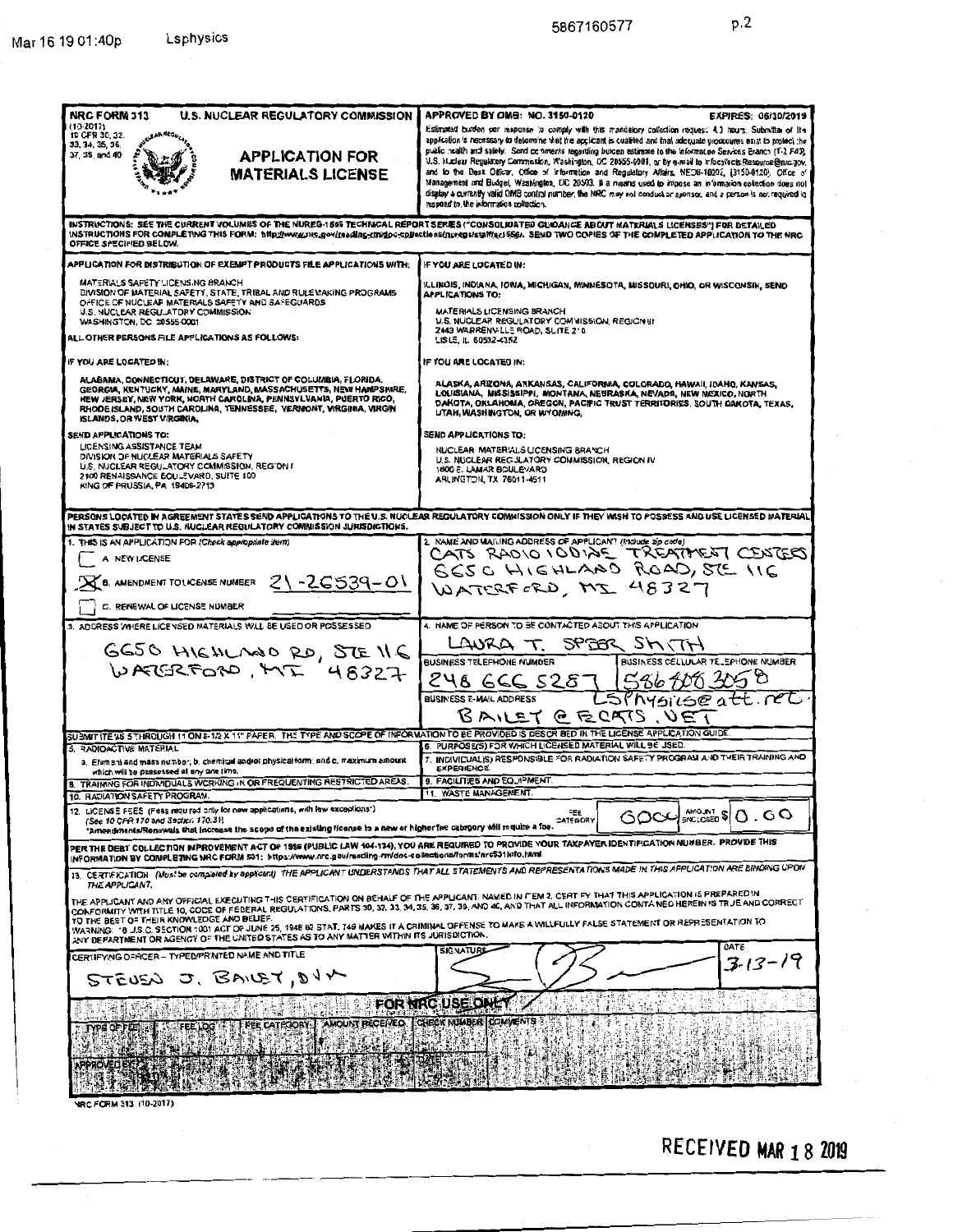$p.2$ 

| <b>NRC FORM 313</b><br><b>U.S. NUCLEAR REGULATORY COMMISSION</b>                                                                                                                                                                                                                                                                                                                                                                                                                                                                                                                                                               | APPROVED BY OMB: NO. 3150-0120<br>EXPIRES: 06/30/2019                                                                                                                                                                                                                                                                                                                                                                                                                                                                                                                                                                                                                                                                                                                                                                                                               |  |
|--------------------------------------------------------------------------------------------------------------------------------------------------------------------------------------------------------------------------------------------------------------------------------------------------------------------------------------------------------------------------------------------------------------------------------------------------------------------------------------------------------------------------------------------------------------------------------------------------------------------------------|---------------------------------------------------------------------------------------------------------------------------------------------------------------------------------------------------------------------------------------------------------------------------------------------------------------------------------------------------------------------------------------------------------------------------------------------------------------------------------------------------------------------------------------------------------------------------------------------------------------------------------------------------------------------------------------------------------------------------------------------------------------------------------------------------------------------------------------------------------------------|--|
| $(10-2017)$<br><b>IC CFR 30, 32.</b><br>LAR REGUC<br>33, 34, 35, 36,<br>37, 39, and 40<br><b>APPLICATION FOR</b><br><b>MATERIALS LICENSE</b>                                                                                                                                                                                                                                                                                                                                                                                                                                                                                   | Estimated burden per response to comply with this mandatory collection request; 4.1 hours. Submitter of the<br>application is necessary to determine that the applicant is cualitied and that adequate procedures exist to protect the<br>public nealth and safely. Send comments regarding burgen estimate to the Information Services Eranch (T-2 F43),<br>U.S. Nuclear Regulatory Commission, Washington, DC 20555-0001, or by e-mail to infoculteds Resource@nrc.gov,<br>and to the Desk Officer, Office of Information and Regulatory Affairs, NEDB-10202, (3150-0120), Office of<br>Management and Budget, Washington, DC 20503. If a means used to impose an information collection does not<br>display a currently valid OMB control number, the NRC may not conduct or sponsor, and a person is not required to<br>respond to, the information collection. |  |
| INSTRUCTIONS: SEE THE CURRENT VOLUMES OF THE NUREG-1555 TECHNICAL REPORT SERIES ("CONSOLIDATED GUIDANCE ABOUT MATERIALS LICENSES") FOR DETAILED<br>INSTRUCTIONS FOR COMPLETING THIS FORM: http://www.anc.gov/reading-mvdoc-collections/nurgge/staffier1556/. SEND TWO COPIES OF THE COMPLETED APPLICATION TO THE NRC<br>OFFICE SPECIFIED BELOW.                                                                                                                                                                                                                                                                                |                                                                                                                                                                                                                                                                                                                                                                                                                                                                                                                                                                                                                                                                                                                                                                                                                                                                     |  |
| APPLICATION FOR DISTRIBUTION OF EXEMPT PRODUCTS FILE APPLICATIONS WITH:                                                                                                                                                                                                                                                                                                                                                                                                                                                                                                                                                        | IF YOU ARE LOCATED IN:                                                                                                                                                                                                                                                                                                                                                                                                                                                                                                                                                                                                                                                                                                                                                                                                                                              |  |
| MATERIALS SAFETY LICENSING BRANCH<br>DIVISION OF MATERIAL SAFETY, STATE, TRIBAL AND RULEVAKING PROGRAMS<br>OFFICE OF NUCLEAR MATERIALS SAFETY AND SAFEGUARDS<br>U.S. NUCLEAR REGULATORY COMMISSION                                                                                                                                                                                                                                                                                                                                                                                                                             | ILLINOIS, INDIANA, IOWA, MICHIGAN, MINNESOTA, MISSOURI, OHIO, OR WISCONSIN, SEND<br><b>APPLICATIONS TO:</b><br>MATERIALS LICENSING BRANCH                                                                                                                                                                                                                                                                                                                                                                                                                                                                                                                                                                                                                                                                                                                           |  |
| WASHINGTON, DC 20555-0001<br>ALL OTHER PERSONS FILE APPLICATIONS AS FOLLOWS:                                                                                                                                                                                                                                                                                                                                                                                                                                                                                                                                                   | U.S. NUCLEAR REGULATORY COMMISSION, REGION III<br>2443 WARRENVILLE ROAD, SLITE 210<br>LISLE, IL 60532-4352                                                                                                                                                                                                                                                                                                                                                                                                                                                                                                                                                                                                                                                                                                                                                          |  |
| IF YOU ARE LOCATED IN:                                                                                                                                                                                                                                                                                                                                                                                                                                                                                                                                                                                                         | IF YOU ARE LOCATED IN:                                                                                                                                                                                                                                                                                                                                                                                                                                                                                                                                                                                                                                                                                                                                                                                                                                              |  |
| ALABAMA, CONNECTICUT, DELAWARE, DISTRICT OF COLUMBIA, FLORIDA.<br>GEORGIA, KENTUCKY, MAINE, MARYLAND, MASSACHUSETTS, NEW HAMPSHIRE,<br>NEW JERSEY, NEW YORK, NORTH CAROLINA, PENNSYLVANIA, PUERTO RICO.<br>RHODE ISLAND, SOUTH CAROLINA, TENNESSEE, VERMONT, VIRGINIA, VIRGIN<br><b>ISLANDS, OR WEST VIRGINIA.</b>                                                                                                                                                                                                                                                                                                             | ALASKA, ARIZONA, ARKANSAS, CALIFORNIA, COLORADO, HAWAII, IDAHO, KANSAS,<br>LOUISIANA, MISSISSIPPI, MONTANA, NEBRASKA, NEVADA, NEW MEXICO, NORTH<br>DAKOTA, OKLAHOMA, OREGON, PACIFIC TRUST TERRITORIES, SOUTH DAKOTA, TEXAS,<br>UTAH, WASHINGTON, OR WYOMING.                                                                                                                                                                                                                                                                                                                                                                                                                                                                                                                                                                                                       |  |
| SEND APPLICATIONS TO:<br>LICENSING ASSISTANCE TEAM<br>DIVISION OF NUCLEAR MATERIALS SAFETY<br>U.S. NUCLEAR REGULATORY COMMISSION, REGION I<br>2100 RENAISSANCE EQU_EVARD, SUITE 100<br>KING OF PRUSSIA, PA 19406-2713                                                                                                                                                                                                                                                                                                                                                                                                          | <b>SEND APPLICATIONS TO:</b><br>NUCLEAR MATERIALS LICENSING BRANCH<br>U.S. NUCLEAR REGULATORY COMMISSION, REGION IV<br>1800 E. LAMAR BOULEVARD<br>ARLINGTON, TX 76011-4511                                                                                                                                                                                                                                                                                                                                                                                                                                                                                                                                                                                                                                                                                          |  |
| PERSONS LOCATED IN AGREEMENT STATES SEND APPLICATIONS TO THE U.S. NUCLEAR REGULATORY COMMISSION ONLY IF THEY WISH TO POSSESS AND USE LICENSED MATERIAL<br>IN STATES SUBJECT TO U.S. NUCLEAR REGULATORY COMMISSION JURISDICTIONS.                                                                                                                                                                                                                                                                                                                                                                                               |                                                                                                                                                                                                                                                                                                                                                                                                                                                                                                                                                                                                                                                                                                                                                                                                                                                                     |  |
| 1. THIS IS AN APPLICATION FOR (Check appropriate item)<br>A NEW LICENSE<br>B. AMENDMENT TO LICENSE NUMBER $21 - 26539 - 01$<br>C. RENEWAL OF LICENSE NUMBER                                                                                                                                                                                                                                                                                                                                                                                                                                                                    | 2 NAME AND MAILING ADDRESS OF APPLICANT (Include zip code)<br>CATS RADIO IODIAE TREATMENT CENTERS<br>GESCHIGHLAND ROAD, STE IIG<br>WATERFORD, MI 48327                                                                                                                                                                                                                                                                                                                                                                                                                                                                                                                                                                                                                                                                                                              |  |
| 3. ADDRESS WHERE LICENSED MATERIALS WILL BE USED OR POSSESSED.                                                                                                                                                                                                                                                                                                                                                                                                                                                                                                                                                                 | 4. NAME OF PERSON TO BE CONTACTED ABOUT THIS APPLICATION                                                                                                                                                                                                                                                                                                                                                                                                                                                                                                                                                                                                                                                                                                                                                                                                            |  |
| GGSO HIGHLAND RD, STE ILE<br>WATERFORD, MT 48327                                                                                                                                                                                                                                                                                                                                                                                                                                                                                                                                                                               | SPEER SHITH<br>LAURA T.<br>BUSINESS CELLULAR TE_EPHONE NUMBER<br>BUSINESS TELEFHONE NUMBER<br>248 GCC 5287 5868003050                                                                                                                                                                                                                                                                                                                                                                                                                                                                                                                                                                                                                                                                                                                                               |  |
|                                                                                                                                                                                                                                                                                                                                                                                                                                                                                                                                                                                                                                | LSPhysicse att. ret<br><b>BUSINESS E-MAIL ADDRESS</b><br>BAILET CECATS, VET                                                                                                                                                                                                                                                                                                                                                                                                                                                                                                                                                                                                                                                                                                                                                                                         |  |
| SUBMIT ITE VS 5 THROUGH 11 ON 8-1/2 X 11" FAFER. THE TYPE AND SCOPE OF INFORMATION TO BE PROVIDED IS DESCRIBED IN THE LICENSE APPLICATION GUIDE.                                                                                                                                                                                                                                                                                                                                                                                                                                                                               |                                                                                                                                                                                                                                                                                                                                                                                                                                                                                                                                                                                                                                                                                                                                                                                                                                                                     |  |
| 5. RADIOACTIVE MATERIAL<br>a. Efement and mass number; b. chemical and/or physical form: and c. maximum amount<br>which will be possessed at any one time.                                                                                                                                                                                                                                                                                                                                                                                                                                                                     | 6. PURPOSE(S) FOR WHICH LICENSED MATERIAL WILL BE JSED.<br>INDIVICUAL(S) RESPONSIBLE FOR RADIATION SAFETY PROGRAM AND THEIR TRAINING AND<br>7.<br><b>EXPERIENCE</b>                                                                                                                                                                                                                                                                                                                                                                                                                                                                                                                                                                                                                                                                                                 |  |
| 8. TRAINING FOR INDIVIDUALS WORKING IN OR FREQUENTING RESTRICTED AREAS.<br>10. RADIATION SAFETY PROGRAM.                                                                                                                                                                                                                                                                                                                                                                                                                                                                                                                       | 9. FACILITIES AND EQUIPMENT.<br>11. WASTE MANAGEMENT.                                                                                                                                                                                                                                                                                                                                                                                                                                                                                                                                                                                                                                                                                                                                                                                                               |  |
| 12. LICENSE FEES (Feas required only for new applications, with few exceptions')<br>AMOUNT \$<br>FEE<br>. GO<br>O<br>(See 10 CFR 170 and Secien 170.31)<br>CATEGORY<br>"Amendments/Ronowals that increase the scope of the existing license to a new or higher fee category will require a foe.                                                                                                                                                                                                                                                                                                                                |                                                                                                                                                                                                                                                                                                                                                                                                                                                                                                                                                                                                                                                                                                                                                                                                                                                                     |  |
| PER THE DEBT COLLECTION IMPROVEMENT ACT OF 1996 (PUBLIC LAW 104-134), YOU ARE REQUIRED TO PROVIDE YOUR TAXPAYER IDENTIFICATION NUMBER. PROVIDE THIS<br>INFORMATION BY CONPLETING NRC FORM 531: https://www.nrc.gov/reading-mr/doc-collections/forms/nrc531info.html                                                                                                                                                                                                                                                                                                                                                            |                                                                                                                                                                                                                                                                                                                                                                                                                                                                                                                                                                                                                                                                                                                                                                                                                                                                     |  |
| 13. CERTIFICATION. (Must be completed by applicant) THE APPLICANT UNDERSTANDS THAT ALL STATEMENTS AND REPRESENTATIONS MADE IN THIS APPLICATION ARE BINDING UPON<br>THE APPLICANT.                                                                                                                                                                                                                                                                                                                                                                                                                                              |                                                                                                                                                                                                                                                                                                                                                                                                                                                                                                                                                                                                                                                                                                                                                                                                                                                                     |  |
| THE APPLICANT AND ANY OFFICIAL EXECUTING THIS CERTIFICATION ON BEHALF OF THE APPLICANT, NAMED IN ITEM 2, CERT FY THAT THIS APPLICATION IS PREPARED IN<br>CONFORMITY WITH TITLE 10, COCE OF FEDERAL REGULATIONS, PARTS 30, 32, 33, 34, 35, 36, 37, 39, AND 4C, AND THAT ALL INFORMATION CONTA NED HEREIN IS TRUE AND CORRECT<br>TO THE BEST OF THEIR KNOWLEDGE AND BELIEF.<br>WARNING: 18 J.S.C. SECTION 1001 ACT OF JUNE 25, 1948 62 STAT, 749 MAKES IT A CRIMINAL OFFENSE TO MAKE A WILLFULLY FALSE STATEMENT OR REPRESENTATION TO<br>ANY DEPARTMENT OR AGENCY OF THE UNITED STATES AS TO ANY MATTER WITHIN ITS JURISDICTION. |                                                                                                                                                                                                                                                                                                                                                                                                                                                                                                                                                                                                                                                                                                                                                                                                                                                                     |  |
| CERTIFYING OFFICER - TYPED/PRINTED NAME AND TITLE                                                                                                                                                                                                                                                                                                                                                                                                                                                                                                                                                                              | DATE<br><b>SIGNATURE</b>                                                                                                                                                                                                                                                                                                                                                                                                                                                                                                                                                                                                                                                                                                                                                                                                                                            |  |
| STEUEN J. BAILET, DIM                                                                                                                                                                                                                                                                                                                                                                                                                                                                                                                                                                                                          | $3 - 13 - 19$                                                                                                                                                                                                                                                                                                                                                                                                                                                                                                                                                                                                                                                                                                                                                                                                                                                       |  |
| 91<br>-15<br>FOR NRC USE ONLY                                                                                                                                                                                                                                                                                                                                                                                                                                                                                                                                                                                                  |                                                                                                                                                                                                                                                                                                                                                                                                                                                                                                                                                                                                                                                                                                                                                                                                                                                                     |  |
| CHECK NUMBER COMMENTS<br>AMOUNT RECEIVED<br><b>CATEGORY</b><br>PE OF FEE<br><b>PPROVECE</b>                                                                                                                                                                                                                                                                                                                                                                                                                                                                                                                                    |                                                                                                                                                                                                                                                                                                                                                                                                                                                                                                                                                                                                                                                                                                                                                                                                                                                                     |  |
| von Enew 313, (10.2012)                                                                                                                                                                                                                                                                                                                                                                                                                                                                                                                                                                                                        |                                                                                                                                                                                                                                                                                                                                                                                                                                                                                                                                                                                                                                                                                                                                                                                                                                                                     |  |

## RECEIVED MAR 18 2019